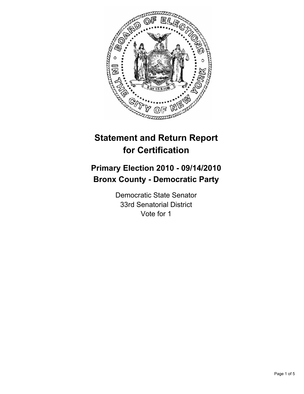

# **Statement and Return Report for Certification**

# **Primary Election 2010 - 09/14/2010 Bronx County - Democratic Party**

Democratic State Senator 33rd Senatorial District Vote for 1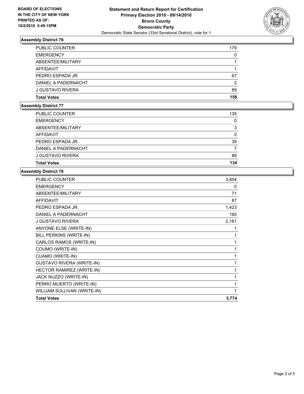

## **Assembly District 76**

| <b>PUBLIC COUNTER</b> | 179 |
|-----------------------|-----|
| <b>EMERGENCY</b>      | 0   |
| ABSENTEE/MILITARY     |     |
| AFFIDAVIT             |     |
| PEDRO ESPADA JR.      | 67  |
| DANIEL A PADERNACHT   | 2   |
| J GUSTAVO RIVERA      | 89  |
| <b>Total Votes</b>    | 158 |

## **Assembly District 77**

| <b>PUBLIC COUNTER</b>   | 135         |
|-------------------------|-------------|
| <b>EMERGENCY</b>        | $\mathbf 0$ |
| ABSENTEE/MILITARY       | 3           |
| AFFIDAVIT               | 0           |
| PEDRO ESPADA JR.        | 39          |
| DANIEL A PADERNACHT     |             |
| <b>J GUSTAVO RIVERA</b> | 88          |
| <b>Total Votes</b>      | 134         |

# **Assembly District 78**

| 3,854 |
|-------|
| 0     |
| 71    |
| 87    |
| 1,423 |
| 160   |
| 2,181 |
| 1     |
| 1     |
| 1     |
| 1     |
| 1     |
| 1     |
| 1     |
| 1     |
| 1     |
| 1     |
| 3,774 |
|       |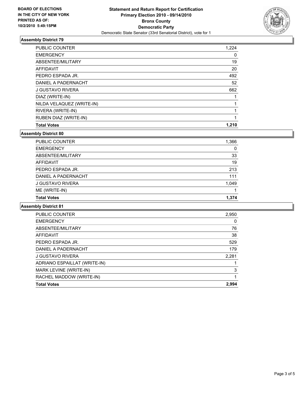

### **Assembly District 79**

| <b>Total Votes</b>           | 1.210 |
|------------------------------|-------|
| <b>RUBEN DIAZ (WRITE-IN)</b> | 1     |
| RIVERA (WRITE-IN)            | 1     |
| NILDA VELAQUEZ (WRITE-IN)    |       |
| DIAZ (WRITE-IN)              |       |
| <b>J GUSTAVO RIVERA</b>      | 662   |
| DANIEL A PADERNACHT          | 52    |
| PEDRO ESPADA JR.             | 492   |
| <b>AFFIDAVIT</b>             | 20    |
| ABSENTEE/MILITARY            | 19    |
| <b>EMERGENCY</b>             | 0     |
| <b>PUBLIC COUNTER</b>        | 1,224 |

**Assembly District 80**

| <b>PUBLIC COUNTER</b> | 1,366 |
|-----------------------|-------|
| <b>EMERGENCY</b>      | 0     |
| ABSENTEE/MILITARY     | 33    |
| AFFIDAVIT             | 19    |
| PEDRO ESPADA JR.      | 213   |
| DANIEL A PADERNACHT   | 111   |
| J GUSTAVO RIVERA      | 1,049 |
| ME (WRITE-IN)         |       |
| <b>Total Votes</b>    | 1.374 |

#### **Assembly District 81**

| PUBLIC COUNTER               | 2,950 |
|------------------------------|-------|
| <b>EMERGENCY</b>             | 0     |
| ABSENTEE/MILITARY            | 76    |
| <b>AFFIDAVIT</b>             | 38    |
| PEDRO ESPADA JR.             | 529   |
| DANIEL A PADERNACHT          | 179   |
| <b>J GUSTAVO RIVERA</b>      | 2,281 |
| ADRIANO ESPAILLAT (WRITE-IN) |       |
| MARK LEVINE (WRITE-IN)       | 3     |
| RACHEL MADDOW (WRITE-IN)     |       |
| <b>Total Votes</b>           | 2.994 |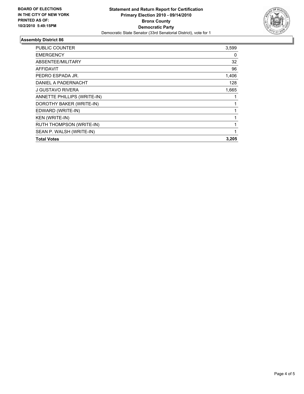

### **Assembly District 86**

| PUBLIC COUNTER              | 3,599 |
|-----------------------------|-------|
| <b>EMERGENCY</b>            | 0     |
| ABSENTEE/MILITARY           | 32    |
| <b>AFFIDAVIT</b>            | 96    |
| PEDRO ESPADA JR.            | 1,406 |
| DANIEL A PADERNACHT         | 128   |
| J GUSTAVO RIVERA            | 1,665 |
| ANNETTE PHILLIPS (WRITE-IN) | 1     |
| DOROTHY BAKER (WRITE-IN)    |       |
| EDWARD (WRITE-IN)           |       |
| <b>KEN (WRITE-IN)</b>       | 1     |
| RUTH THOMPSON (WRITE-IN)    |       |
| SEAN P. WALSH (WRITE-IN)    |       |
| <b>Total Votes</b>          | 3,205 |